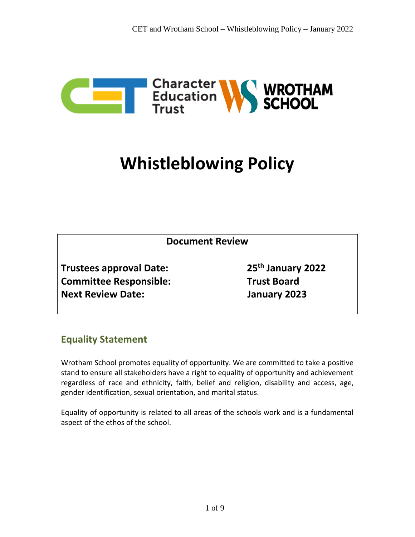

# **Whistleblowing Policy**

| <b>Document Review</b>         |                               |
|--------------------------------|-------------------------------|
| <b>Trustees approval Date:</b> | 25 <sup>th</sup> January 2022 |
| <b>Committee Responsible:</b>  | <b>Trust Board</b>            |
| <b>Next Review Date:</b>       | January 2023                  |

# **Equality Statement**

Wrotham School promotes equality of opportunity. We are committed to take a positive stand to ensure all stakeholders have a right to equality of opportunity and achievement regardless of race and ethnicity, faith, belief and religion, disability and access, age, gender identification, sexual orientation, and marital status.

Equality of opportunity is related to all areas of the schools work and is a fundamental aspect of the ethos of the school.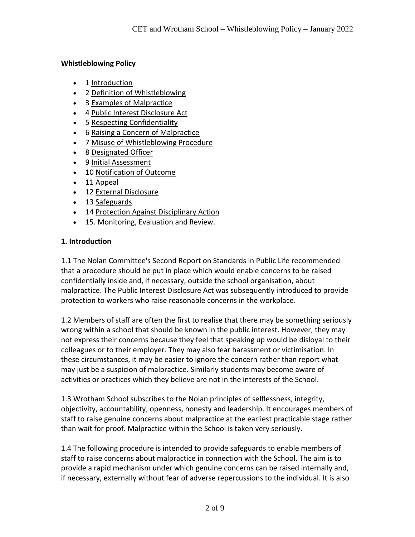#### **Whistleblowing Policy**

- 1 [Introduction](http://www.filton.ac.uk/therese/filton2006/2006/theCollege/governorsDetail.php?textId=10#l01#l01)
- 2 [Definition of Whistleblowing](http://www.filton.ac.uk/therese/filton2006/2006/theCollege/governorsDetail.php?textId=10#l02#l02)
- 3 [Examples of Malpractice](http://www.filton.ac.uk/therese/filton2006/2006/theCollege/governorsDetail.php?textId=10#l03#l03)
- 4 [Public Interest Disclosure Act](http://www.filton.ac.uk/therese/filton2006/2006/theCollege/governorsDetail.php?textId=10#l04#l04)
- 5 [Respecting Confidentiality](http://www.filton.ac.uk/therese/filton2006/2006/theCollege/governorsDetail.php?textId=10#l05#l05)
- 6 [Raising a Concern of Malpractice](http://www.filton.ac.uk/therese/filton2006/2006/theCollege/governorsDetail.php?textId=10#l06#l06)
- 7 [Misuse of Whistleblowing Procedure](http://www.filton.ac.uk/therese/filton2006/2006/theCollege/governorsDetail.php?textId=10#l07#l07)
- 8 [Designated Officer](http://www.filton.ac.uk/therese/filton2006/2006/theCollege/governorsDetail.php?textId=10#l08#l08)
- 9 [Initial Assessment](http://www.filton.ac.uk/therese/filton2006/2006/theCollege/governorsDetail.php?textId=10#l09#l09)
- 10 [Notification of Outcome](http://www.filton.ac.uk/therese/filton2006/2006/theCollege/governorsDetail.php?textId=10#l10#l10)
- 11 [Appeal](http://www.filton.ac.uk/therese/filton2006/2006/theCollege/governorsDetail.php?textId=10#l11#l11)
- 12 [External Disclosure](http://www.filton.ac.uk/therese/filton2006/2006/theCollege/governorsDetail.php?textId=10#l12#l12)
- 13 [Safeguards](http://www.filton.ac.uk/therese/filton2006/2006/theCollege/governorsDetail.php?textId=10#l13#l13)
- 14 Protection Against Disciplinary Action
- 15. Monitoring, Evaluation and Review.

#### **1. Introduction**

1.1 The Nolan Committee's Second Report on Standards in Public Life recommended that a procedure should be put in place which would enable concerns to be raised confidentially inside and, if necessary, outside the school organisation, about malpractice. The Public Interest Disclosure Act was subsequently introduced to provide protection to workers who raise reasonable concerns in the workplace.

1.2 Members of staff are often the first to realise that there may be something seriously wrong within a school that should be known in the public interest. However, they may not express their concerns because they feel that speaking up would be disloyal to their colleagues or to their employer. They may also fear harassment or victimisation. In these circumstances, it may be easier to ignore the concern rather than report what may just be a suspicion of malpractice. Similarly students may become aware of activities or practices which they believe are not in the interests of the School.

1.3 Wrotham School subscribes to the Nolan principles of selflessness, integrity, objectivity, accountability, openness, honesty and leadership. It encourages members of staff to raise genuine concerns about malpractice at the earliest practicable stage rather than wait for proof. Malpractice within the School is taken very seriously.

1.4 The following procedure is intended to provide safeguards to enable members of staff to raise concerns about malpractice in connection with the School. The aim is to provide a rapid mechanism under which genuine concerns can be raised internally and, if necessary, externally without fear of adverse repercussions to the individual. It is also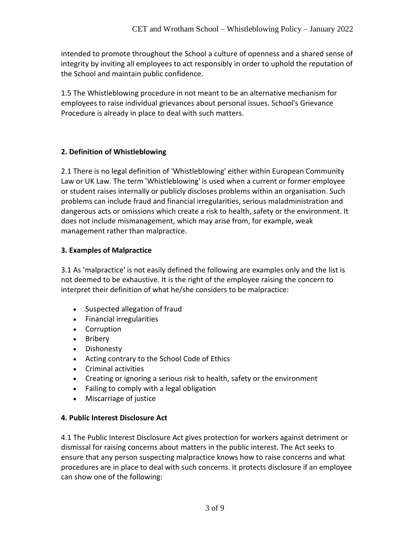intended to promote throughout the School a culture of openness and a shared sense of integrity by inviting all employees to act responsibly in order to uphold the reputation of the School and maintain public confidence.

1.5 The Whistleblowing procedure in not meant to be an alternative mechanism for employees to raise individual grievances about personal issues. School's Grievance Procedure is already in place to deal with such matters.

#### **2. Definition of Whistleblowing**

2.1 There is no legal definition of 'Whistleblowing' either within European Community Law or UK Law. The term 'Whistleblowing' is used when a current or former employee or student raises internally or publicly discloses problems within an organisation. Such problems can include fraud and financial irregularities, serious maladministration and dangerous acts or omissions which create a risk to health, safety or the environment. It does not include mismanagement, which may arise from, for example, weak management rather than malpractice.

#### **3. Examples of Malpractice**

3.1 As 'malpractice' is not easily defined the following are examples only and the list is not deemed to be exhaustive. It is the right of the employee raising the concern to interpret their definition of what he/she considers to be malpractice:

- Suspected allegation of fraud
- Financial irregularities
- Corruption
- Bribery
- Dishonesty
- Acting contrary to the School Code of Ethics
- Criminal activities
- Creating or ignoring a serious risk to health, safety or the environment
- Failing to comply with a legal obligation
- Miscarriage of justice

#### **4. Public Interest Disclosure Act**

4.1 The Public Interest Disclosure Act gives protection for workers against detriment or dismissal for raising concerns about matters in the public interest. The Act seeks to ensure that any person suspecting malpractice knows how to raise concerns and what procedures are in place to deal with such concerns. It protects disclosure if an employee can show one of the following: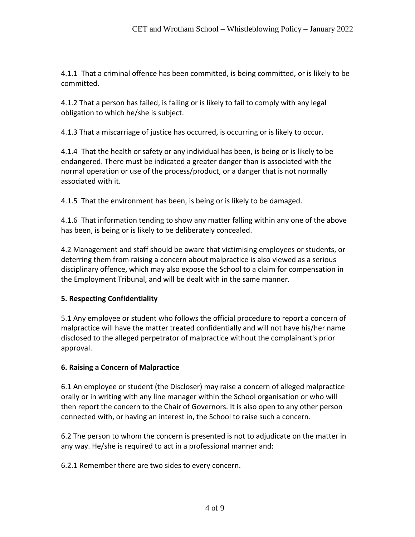4.1.1 That a criminal offence has been committed, is being committed, or is likely to be committed.

4.1.2 That a person has failed, is failing or is likely to fail to comply with any legal obligation to which he/she is subject.

4.1.3 That a miscarriage of justice has occurred, is occurring or is likely to occur.

4.1.4 That the health or safety or any individual has been, is being or is likely to be endangered. There must be indicated a greater danger than is associated with the normal operation or use of the process/product, or a danger that is not normally associated with it.

4.1.5 That the environment has been, is being or is likely to be damaged.

4.1.6 That information tending to show any matter falling within any one of the above has been, is being or is likely to be deliberately concealed.

4.2 Management and staff should be aware that victimising employees or students, or deterring them from raising a concern about malpractice is also viewed as a serious disciplinary offence, which may also expose the School to a claim for compensation in the Employment Tribunal, and will be dealt with in the same manner.

# **5. Respecting Confidentiality**

5.1 Any employee or student who follows the official procedure to report a concern of malpractice will have the matter treated confidentially and will not have his/her name disclosed to the alleged perpetrator of malpractice without the complainant's prior approval.

# **6. Raising a Concern of Malpractice**

6.1 An employee or student (the Discloser) may raise a concern of alleged malpractice orally or in writing with any line manager within the School organisation or who will then report the concern to the Chair of Governors. It is also open to any other person connected with, or having an interest in, the School to raise such a concern.

6.2 The person to whom the concern is presented is not to adjudicate on the matter in any way. He/she is required to act in a professional manner and:

6.2.1 Remember there are two sides to every concern.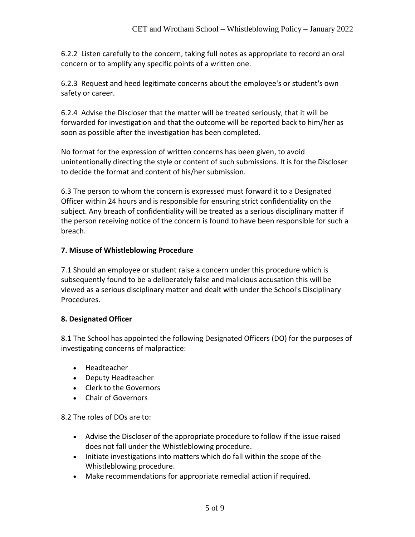6.2.2 Listen carefully to the concern, taking full notes as appropriate to record an oral concern or to amplify any specific points of a written one.

6.2.3 Request and heed legitimate concerns about the employee's or student's own safety or career.

6.2.4 Advise the Discloser that the matter will be treated seriously, that it will be forwarded for investigation and that the outcome will be reported back to him/her as soon as possible after the investigation has been completed.

No format for the expression of written concerns has been given, to avoid unintentionally directing the style or content of such submissions. It is for the Discloser to decide the format and content of his/her submission.

6.3 The person to whom the concern is expressed must forward it to a Designated Officer within 24 hours and is responsible for ensuring strict confidentiality on the subject. Any breach of confidentiality will be treated as a serious disciplinary matter if the person receiving notice of the concern is found to have been responsible for such a breach.

#### **7. Misuse of Whistleblowing Procedure**

7.1 Should an employee or student raise a concern under this procedure which is subsequently found to be a deliberately false and malicious accusation this will be viewed as a serious disciplinary matter and dealt with under the School's Disciplinary Procedures.

#### **8. Designated Officer**

8.1 The School has appointed the following Designated Officers (DO) for the purposes of investigating concerns of malpractice:

- Headteacher
- Deputy Headteacher
- Clerk to the Governors
- Chair of Governors

8.2 The roles of DOs are to:

- Advise the Discloser of the appropriate procedure to follow if the issue raised does not fall under the Whistleblowing procedure.
- Initiate investigations into matters which do fall within the scope of the Whistleblowing procedure.
- Make recommendations for appropriate remedial action if required.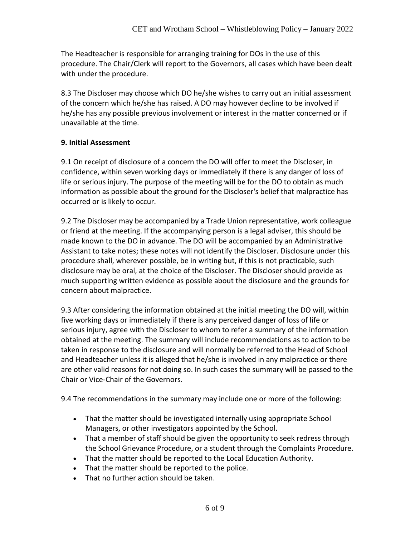The Headteacher is responsible for arranging training for DOs in the use of this procedure. The Chair/Clerk will report to the Governors, all cases which have been dealt with under the procedure.

8.3 The Discloser may choose which DO he/she wishes to carry out an initial assessment of the concern which he/she has raised. A DO may however decline to be involved if he/she has any possible previous involvement or interest in the matter concerned or if unavailable at the time.

#### **9. Initial Assessment**

9.1 On receipt of disclosure of a concern the DO will offer to meet the Discloser, in confidence, within seven working days or immediately if there is any danger of loss of life or serious injury. The purpose of the meeting will be for the DO to obtain as much information as possible about the ground for the Discloser's belief that malpractice has occurred or is likely to occur.

9.2 The Discloser may be accompanied by a Trade Union representative, work colleague or friend at the meeting. If the accompanying person is a legal adviser, this should be made known to the DO in advance. The DO will be accompanied by an Administrative Assistant to take notes; these notes will not identify the Discloser. Disclosure under this procedure shall, wherever possible, be in writing but, if this is not practicable, such disclosure may be oral, at the choice of the Discloser. The Discloser should provide as much supporting written evidence as possible about the disclosure and the grounds for concern about malpractice.

9.3 After considering the information obtained at the initial meeting the DO will, within five working days or immediately if there is any perceived danger of loss of life or serious injury, agree with the Discloser to whom to refer a summary of the information obtained at the meeting. The summary will include recommendations as to action to be taken in response to the disclosure and will normally be referred to the Head of School and Headteacher unless it is alleged that he/she is involved in any malpractice or there are other valid reasons for not doing so. In such cases the summary will be passed to the Chair or Vice-Chair of the Governors.

9.4 The recommendations in the summary may include one or more of the following:

- That the matter should be investigated internally using appropriate School Managers, or other investigators appointed by the School.
- That a member of staff should be given the opportunity to seek redress through the School Grievance Procedure, or a student through the Complaints Procedure.
- That the matter should be reported to the Local Education Authority.
- That the matter should be reported to the police.
- That no further action should be taken.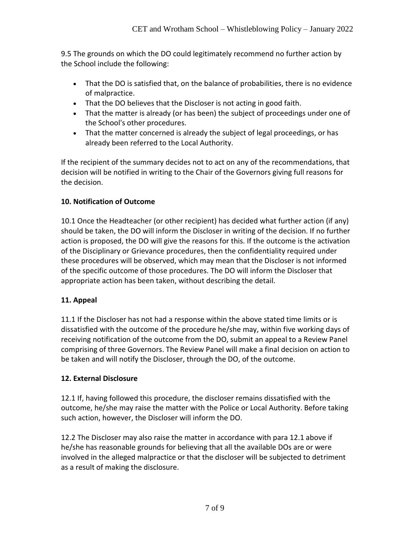9.5 The grounds on which the DO could legitimately recommend no further action by the School include the following:

- That the DO is satisfied that, on the balance of probabilities, there is no evidence of malpractice.
- That the DO believes that the Discloser is not acting in good faith.
- That the matter is already (or has been) the subject of proceedings under one of the School's other procedures.
- That the matter concerned is already the subject of legal proceedings, or has already been referred to the Local Authority.

If the recipient of the summary decides not to act on any of the recommendations, that decision will be notified in writing to the Chair of the Governors giving full reasons for the decision.

# **10. Notification of Outcome**

10.1 Once the Headteacher (or other recipient) has decided what further action (if any) should be taken, the DO will inform the Discloser in writing of the decision. If no further action is proposed, the DO will give the reasons for this. If the outcome is the activation of the Disciplinary or Grievance procedures, then the confidentiality required under these procedures will be observed, which may mean that the Discloser is not informed of the specific outcome of those procedures. The DO will inform the Discloser that appropriate action has been taken, without describing the detail.

# **11. Appeal**

11.1 If the Discloser has not had a response within the above stated time limits or is dissatisfied with the outcome of the procedure he/she may, within five working days of receiving notification of the outcome from the DO, submit an appeal to a Review Panel comprising of three Governors. The Review Panel will make a final decision on action to be taken and will notify the Discloser, through the DO, of the outcome.

# **12. External Disclosure**

12.1 If, having followed this procedure, the discloser remains dissatisfied with the outcome, he/she may raise the matter with the Police or Local Authority. Before taking such action, however, the Discloser will inform the DO.

12.2 The Discloser may also raise the matter in accordance with para 12.1 above if he/she has reasonable grounds for believing that all the available DOs are or were involved in the alleged malpractice or that the discloser will be subjected to detriment as a result of making the disclosure.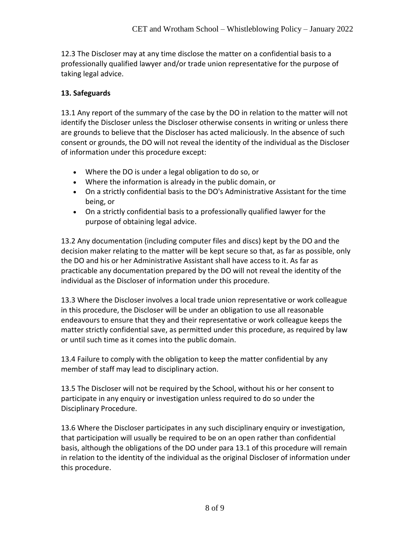12.3 The Discloser may at any time disclose the matter on a confidential basis to a professionally qualified lawyer and/or trade union representative for the purpose of taking legal advice.

#### **13. Safeguards**

13.1 Any report of the summary of the case by the DO in relation to the matter will not identify the Discloser unless the Discloser otherwise consents in writing or unless there are grounds to believe that the Discloser has acted maliciously. In the absence of such consent or grounds, the DO will not reveal the identity of the individual as the Discloser of information under this procedure except:

- Where the DO is under a legal obligation to do so, or
- Where the information is already in the public domain, or
- On a strictly confidential basis to the DO's Administrative Assistant for the time being, or
- On a strictly confidential basis to a professionally qualified lawyer for the purpose of obtaining legal advice.

13.2 Any documentation (including computer files and discs) kept by the DO and the decision maker relating to the matter will be kept secure so that, as far as possible, only the DO and his or her Administrative Assistant shall have access to it. As far as practicable any documentation prepared by the DO will not reveal the identity of the individual as the Discloser of information under this procedure.

13.3 Where the Discloser involves a local trade union representative or work colleague in this procedure, the Discloser will be under an obligation to use all reasonable endeavours to ensure that they and their representative or work colleague keeps the matter strictly confidential save, as permitted under this procedure, as required by law or until such time as it comes into the public domain.

13.4 Failure to comply with the obligation to keep the matter confidential by any member of staff may lead to disciplinary action.

13.5 The Discloser will not be required by the School, without his or her consent to participate in any enquiry or investigation unless required to do so under the Disciplinary Procedure.

13.6 Where the Discloser participates in any such disciplinary enquiry or investigation, that participation will usually be required to be on an open rather than confidential basis, although the obligations of the DO under para 13.1 of this procedure will remain in relation to the identity of the individual as the original Discloser of information under this procedure.